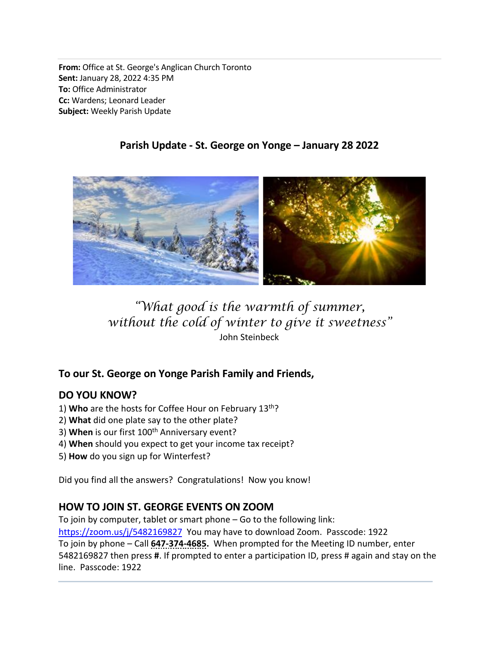From: Office at St. George's Anglican Church Toronto Sent: January 28, 2022 4:35 PM To: Office Administrator Cc: Wardens; Leonard Leader Subject: Weekly Parish Update

## Parish Update - St. George on Yonge – January 28 2022

# "What good is the warmth of summer, without the cold of winter to give it sweetness" John Steinbeck

### To our St. George on Yonge Parish Family and Friends,

### DO YOU KNOW?

- 1) Who are the hosts for Coffee Hour on February 13<sup>th</sup>?
- 2) What did one plate say to the other plate?
- 3) When is our first 100<sup>th</sup> Anniversary event?
- 4) When should you expect to get your income tax receipt?
- 5) How do you sign up for Winterfest?

Did you find all the answers? Congratulations! Now you know!

# HOW TO JOIN ST. GEORGE EVENTS ON ZOOM

To join by computer, tablet or smart phone – Go to the following link: https://zoom.us/j/5482169827 You may have to download Zoom. Passcode: 1922 To join by phone – Call 647-374-4685. When prompted for the Meeting ID number, enter 5482169827 then press #. If prompted to enter a participation ID, press # again and stay on the line. Passcode: 1922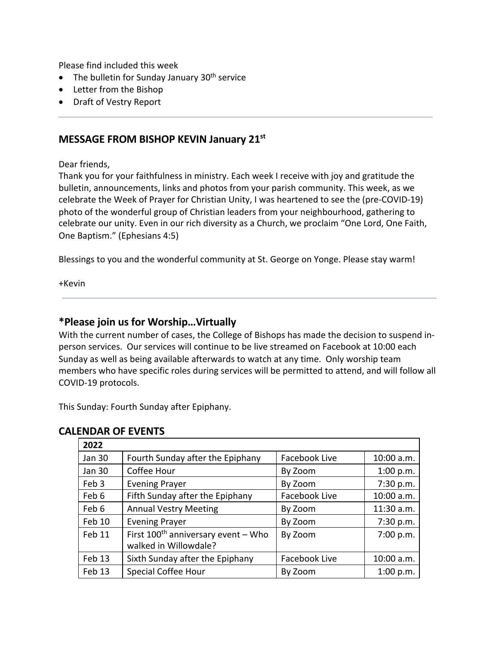Please find included this week

- $\bullet$  The bulletin for Sunday January 30<sup>th</sup> service
- Letter from the Bishop
- Draft of Vestry Report

#### MESSAGE FROM BISHOP KEVIN January 21st

Dear friends,

Thank you for your faithfulness in ministry. Each week I receive with joy and gratitude the bulletin, announcements, links and photos from your parish community. This week, as we celebrate the Week of Prayer for Christian Unity, I was heartened to see the (pre-COVID-19) photo of the wonderful group of Christian leaders from your neighbourhood, gathering to celebrate our unity. Even in our rich diversity as a Church, we proclaim "One Lord, One Faith, One Baptism." (Ephesians 4:5)

Blessings to you and the wonderful community at St. George on Yonge. Please stay warm!

+Kevin

#### \*Please join us for Worship…Virtually

With the current number of cases, the College of Bishops has made the decision to suspend inperson services. Our services will continue to be live streamed on Facebook at 10:00 each Sunday as well as being available afterwards to watch at any time. Only worship team members who have specific roles during services will be permitted to attend, and will follow all COVID-19 protocols.

This Sunday: Fourth Sunday after Epiphany.

| 2022          |                                                                   |               |            |
|---------------|-------------------------------------------------------------------|---------------|------------|
| Jan 30        | Fourth Sunday after the Epiphany                                  | Facebook Live | 10:00 a.m. |
| <b>Jan 30</b> | Coffee Hour                                                       | By Zoom       | 1:00 p.m.  |
| Feb 3         | <b>Evening Prayer</b>                                             | By Zoom       | 7:30 p.m.  |
| Feb 6         | Fifth Sunday after the Epiphany                                   | Facebook Live | 10:00 a.m. |
| Feb 6         | <b>Annual Vestry Meeting</b>                                      | By Zoom       | 11:30 a.m. |
| Feb 10        | <b>Evening Prayer</b>                                             | By Zoom       | 7:30 p.m.  |
| Feb 11        | First $100^{th}$ anniversary event - Who<br>walked in Willowdale? | By Zoom       | 7:00 p.m.  |
| Feb 13        | Sixth Sunday after the Epiphany                                   | Facebook Live | 10:00 a.m. |
| Feb 13        | <b>Special Coffee Hour</b>                                        | By Zoom       | 1:00 p.m.  |

#### CALENDAR OF EVENTS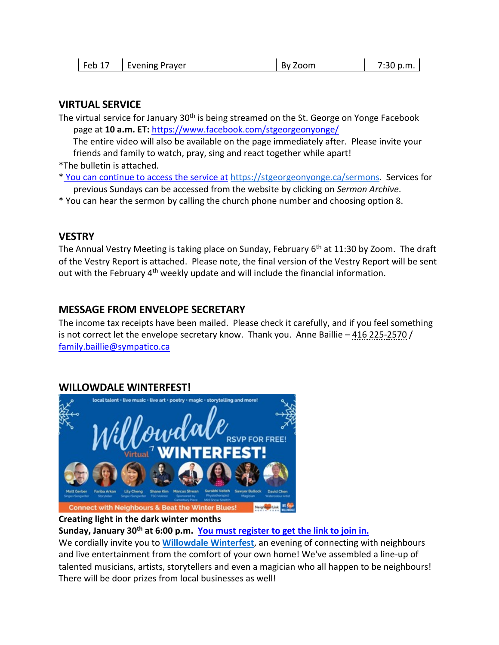| $ $ Feb 17<br><b>Evening Prayer</b> | By Zoom | 7:30 p.m. |
|-------------------------------------|---------|-----------|
|-------------------------------------|---------|-----------|

#### VIRTUAL SERVICE

The virtual service for January 30<sup>th</sup> is being streamed on the St. George on Yonge Facebook page at 10 a.m. ET: https://www.facebook.com/stgeorgeonyonge/

The entire video will also be available on the page immediately after. Please invite your friends and family to watch, pray, sing and react together while apart!

\*The bulletin is attached.

- \* You can continue to access the service at https://stgeorgeonyonge.ca/sermons. Services for previous Sundays can be accessed from the website by clicking on Sermon Archive.
- \* You can hear the sermon by calling the church phone number and choosing option 8.

#### **VESTRY**

The Annual Vestry Meeting is taking place on Sunday, February 6<sup>th</sup> at 11:30 by Zoom. The draft of the Vestry Report is attached. Please note, the final version of the Vestry Report will be sent out with the February 4<sup>th</sup> weekly update and will include the financial information.

#### MESSAGE FROM ENVELOPE SECRETARY

The income tax receipts have been mailed. Please check it carefully, and if you feel something is not correct let the envelope secretary know. Thank you. Anne Baillie – 416 225-2570 / family.baillie@sympatico.ca

#### WILLOWDALE WINTERFEST!



#### Creating light in the dark winter months

Sunday, January 30<sup>th</sup> at 6:00 p.m. You must register to get the link to join in.

We cordially invite you to **Willowdale Winterfest**, an evening of connecting with neighbours and live entertainment from the comfort of your own home! We've assembled a line-up of talented musicians, artists, storytellers and even a magician who all happen to be neighbours! There will be door prizes from local businesses as well!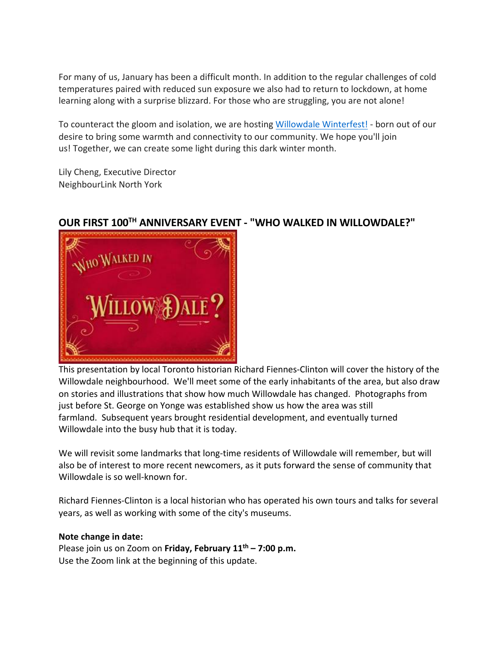For many of us, January has been a difficult month. In addition to the regular challenges of cold temperatures paired with reduced sun exposure we also had to return to lockdown, at home learning along with a surprise blizzard. For those who are struggling, you are not alone!

To counteract the gloom and isolation, we are hosting Willowdale Winterfest! - born out of our desire to bring some warmth and connectivity to our community. We hope you'll join us! Together, we can create some light during this dark winter month.

Lily Cheng, Executive Director NeighbourLink North York



# OUR FIRST 100TH ANNIVERSARY EVENT - "WHO WALKED IN WILLOWDALE?"

This presentation by local Toronto historian Richard Fiennes-Clinton will cover the history of the Willowdale neighbourhood. We'll meet some of the early inhabitants of the area, but also draw on stories and illustrations that show how much Willowdale has changed. Photographs from just before St. George on Yonge was established show us how the area was still farmland. Subsequent years brought residential development, and eventually turned Willowdale into the busy hub that it is today.

We will revisit some landmarks that long-time residents of Willowdale will remember, but will also be of interest to more recent newcomers, as it puts forward the sense of community that Willowdale is so well-known for.

Richard Fiennes-Clinton is a local historian who has operated his own tours and talks for several years, as well as working with some of the city's museums.

#### Note change in date:

Please join us on Zoom on Friday, February  $11<sup>th</sup>$  – 7:00 p.m. Use the Zoom link at the beginning of this update.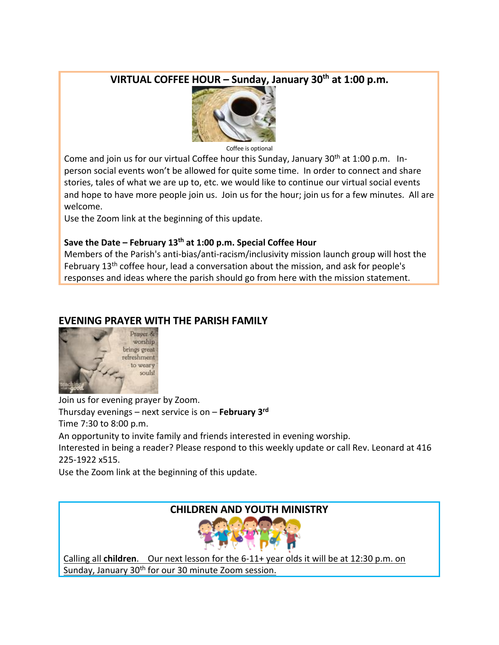# VIRTUAL COFFEE HOUR - Sunday, January 30<sup>th</sup> at 1:00 p.m.



Coffee is optional

Come and join us for our virtual Coffee hour this Sunday, January  $30<sup>th</sup>$  at 1:00 p.m. Inperson social events won't be allowed for quite some time. In order to connect and share stories, tales of what we are up to, etc. we would like to continue our virtual social events and hope to have more people join us. Join us for the hour; join us for a few minutes. All are welcome.

Use the Zoom link at the beginning of this update.

#### Save the Date – February  $13<sup>th</sup>$  at 1:00 p.m. Special Coffee Hour

Members of the Parish's anti-bias/anti-racism/inclusivity mission launch group will host the February 13<sup>th</sup> coffee hour, lead a conversation about the mission, and ask for people's responses and ideas where the parish should go from here with the mission statement.

#### EVENING PRAYER WITH THE PARISH FAMILY



Join us for evening prayer by Zoom. Thursday evenings – next service is on – February  $3<sup>rd</sup>$ Time 7:30 to 8:00 p.m. An opportunity to invite family and friends interested in evening worship. Interested in being a reader? Please respond to this weekly update or call Rev. Leonard at 416 225-1922 x515.

Use the Zoom link at the beginning of this update.

### CHILDREN AND YOUTH MINISTRY



Calling all children. Our next lesson for the 6-11+ year olds it will be at 12:30 p.m. on Sunday, January 30<sup>th</sup> for our 30 minute Zoom session.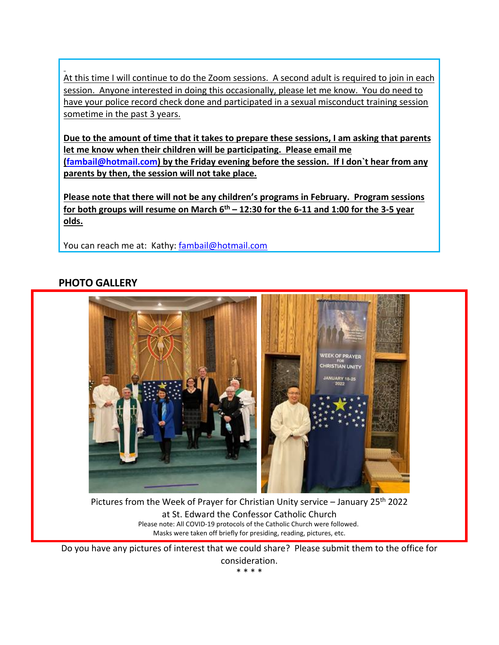At this time I will continue to do the Zoom sessions. A second adult is required to join in each session. Anyone interested in doing this occasionally, please let me know. You do need to have your police record check done and participated in a sexual misconduct training session sometime in the past 3 years.

Due to the amount of time that it takes to prepare these sessions, I am asking that parents let me know when their children will be participating. Please email me (fambail@hotmail.com) by the Friday evening before the session. If I don`t hear from any parents by then, the session will not take place.

Please note that there will not be any children's programs in February. Program sessions for both groups will resume on March  $6<sup>th</sup> - 12:30$  for the 6-11 and 1:00 for the 3-5 year olds.

You can reach me at: Kathy: fambail@hotmail.com

#### PHOTO GALLERY



Pictures from the Week of Prayer for Christian Unity service – January 25<sup>th</sup> 2022 at St. Edward the Confessor Catholic Church Please note: All COVID-19 protocols of the Catholic Church were followed. Masks were taken off briefly for presiding, reading, pictures, etc.

Do you have any pictures of interest that we could share? Please submit them to the office for consideration.

\* \* \* \*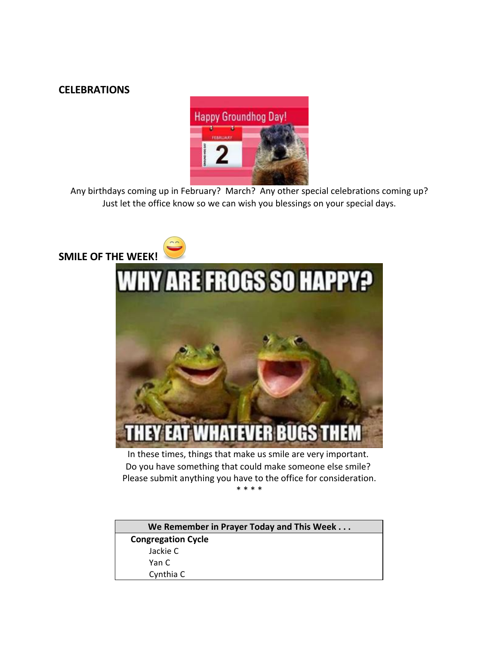#### **CELEBRATIONS**



Any birthdays coming up in February? March? Any other special celebrations coming up? Just let the office know so we can wish you blessings on your special days.



| We Remember in Prayer Today and This Week |  |  |  |
|-------------------------------------------|--|--|--|
| <b>Congregation Cycle</b>                 |  |  |  |
| Jackie C                                  |  |  |  |
| Yan C                                     |  |  |  |
| Cynthia C                                 |  |  |  |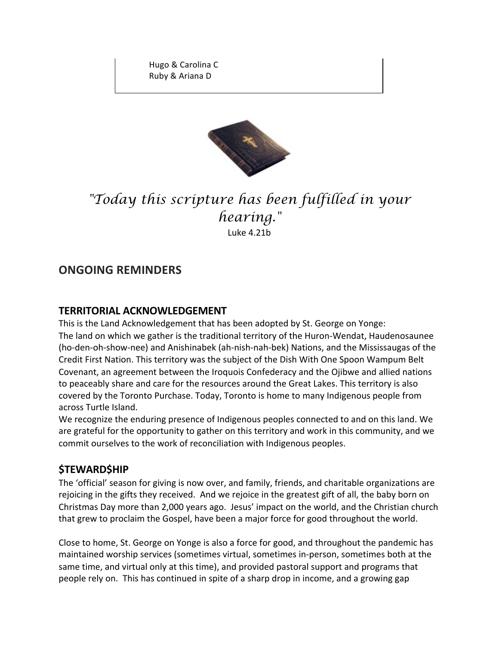Hugo & Carolina C Ruby & Ariana D



# "Today this scripture has been fulfilled in your hearing." Luke 4.21b

# ONGOING REMINDERS

#### TERRITORIAL ACKNOWLEDGEMENT

This is the Land Acknowledgement that has been adopted by St. George on Yonge: The land on which we gather is the traditional territory of the Huron-Wendat, Haudenosaunee (ho-den-oh-show-nee) and Anishinabek (ah-nish-nah-bek) Nations, and the Mississaugas of the Credit First Nation. This territory was the subject of the Dish With One Spoon Wampum Belt Covenant, an agreement between the Iroquois Confederacy and the Ojibwe and allied nations to peaceably share and care for the resources around the Great Lakes. This territory is also covered by the Toronto Purchase. Today, Toronto is home to many Indigenous people from across Turtle Island.

We recognize the enduring presence of Indigenous peoples connected to and on this land. We are grateful for the opportunity to gather on this territory and work in this community, and we commit ourselves to the work of reconciliation with Indigenous peoples.

#### *<u>STEWARDSHIP</u>*

The 'official' season for giving is now over, and family, friends, and charitable organizations are rejoicing in the gifts they received. And we rejoice in the greatest gift of all, the baby born on Christmas Day more than 2,000 years ago. Jesus' impact on the world, and the Christian church that grew to proclaim the Gospel, have been a major force for good throughout the world.

Close to home, St. George on Yonge is also a force for good, and throughout the pandemic has maintained worship services (sometimes virtual, sometimes in-person, sometimes both at the same time, and virtual only at this time), and provided pastoral support and programs that people rely on. This has continued in spite of a sharp drop in income, and a growing gap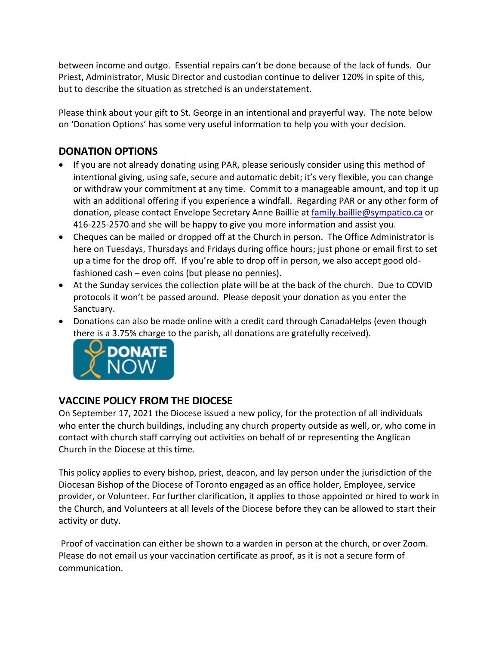between income and outgo. Essential repairs can't be done because of the lack of funds. Our Priest, Administrator, Music Director and custodian continue to deliver 120% in spite of this, but to describe the situation as stretched is an understatement.

Please think about your gift to St. George in an intentional and prayerful way. The note below on 'Donation Options' has some very useful information to help you with your decision.

# DONATION OPTIONS

- If you are not already donating using PAR, please seriously consider using this method of intentional giving, using safe, secure and automatic debit; it's very flexible, you can change or withdraw your commitment at any time. Commit to a manageable amount, and top it up with an additional offering if you experience a windfall. Regarding PAR or any other form of donation, please contact Envelope Secretary Anne Baillie at family.baillie@sympatico.ca or 416-225-2570 and she will be happy to give you more information and assist you.
- Cheques can be mailed or dropped off at the Church in person. The Office Administrator is here on Tuesdays, Thursdays and Fridays during office hours; just phone or email first to set up a time for the drop off. If you're able to drop off in person, we also accept good oldfashioned cash – even coins (but please no pennies).
- At the Sunday services the collection plate will be at the back of the church. Due to COVID protocols it won't be passed around. Please deposit your donation as you enter the Sanctuary.
- Donations can also be made online with a credit card through CanadaHelps (even though there is a 3.75% charge to the parish, all donations are gratefully received).



### VACCINE POLICY FROM THE DIOCESE

On September 17, 2021 the Diocese issued a new policy, for the protection of all individuals who enter the church buildings, including any church property outside as well, or, who come in contact with church staff carrying out activities on behalf of or representing the Anglican Church in the Diocese at this time.

This policy applies to every bishop, priest, deacon, and lay person under the jurisdiction of the Diocesan Bishop of the Diocese of Toronto engaged as an office holder, Employee, service provider, or Volunteer. For further clarification, it applies to those appointed or hired to work in the Church, and Volunteers at all levels of the Diocese before they can be allowed to start their activity or duty.

Proof of vaccination can either be shown to a warden in person at the church, or over Zoom. Please do not email us your vaccination certificate as proof, as it is not a secure form of communication.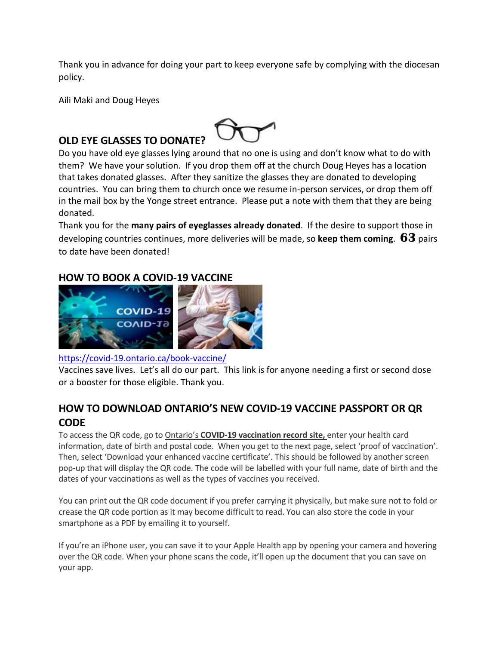Thank you in advance for doing your part to keep everyone safe by complying with the diocesan policy.

Aili Maki and Doug Heyes

# OLD EYE GLASSES TO DONATE?



Thank you for the **many pairs of eyeglasses already donated**. If the desire to support those in developing countries continues, more deliveries will be made, so keep them coming.  $63$  pairs to date have been donated!

#### HOW TO BOOK A COVID-19 VACCINE



#### https://covid-19.ontario.ca/book-vaccine/

Vaccines save lives. Let's all do our part. This link is for anyone needing a first or second dose or a booster for those eligible. Thank you.

# HOW TO DOWNLOAD ONTARIO'S NEW COVID-19 VACCINE PASSPORT OR QR **CODE**

To access the QR code, go to Ontario's COVID-19 vaccination record site, enter your health card information, date of birth and postal code. When you get to the next page, select 'proof of vaccination'. Then, select 'Download your enhanced vaccine certificate'. This should be followed by another screen pop-up that will display the QR code. The code will be labelled with your full name, date of birth and the dates of your vaccinations as well as the types of vaccines you received.

You can print out the QR code document if you prefer carrying it physically, but make sure not to fold or crease the QR code portion as it may become difficult to read. You can also store the code in your smartphone as a PDF by emailing it to yourself.

If you're an iPhone user, you can save it to your Apple Health app by opening your camera and hovering over the QR code. When your phone scans the code, it'll open up the document that you can save on your app.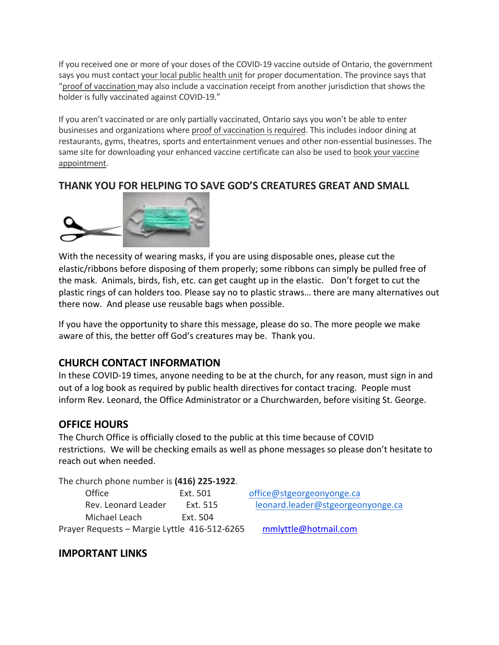If you received one or more of your doses of the COVID-19 vaccine outside of Ontario, the government says you must contact your local public health unit for proper documentation. The province says that "proof of vaccination may also include a vaccination receipt from another jurisdiction that shows the holder is fully vaccinated against COVID-19."

If you aren't vaccinated or are only partially vaccinated, Ontario says you won't be able to enter businesses and organizations where proof of vaccination is required. This includes indoor dining at restaurants, gyms, theatres, sports and entertainment venues and other non-essential businesses. The same site for downloading your enhanced vaccine certificate can also be used to book your vaccine appointment.

# THANK YOU FOR HELPING TO SAVE GOD'S CREATURES GREAT AND SMALL



With the necessity of wearing masks, if you are using disposable ones, please cut the elastic/ribbons before disposing of them properly; some ribbons can simply be pulled free of the mask. Animals, birds, fish, etc. can get caught up in the elastic. Don't forget to cut the plastic rings of can holders too. Please say no to plastic straws… there are many alternatives out there now. And please use reusable bags when possible.

If you have the opportunity to share this message, please do so. The more people we make aware of this, the better off God's creatures may be. Thank you.

### CHURCH CONTACT INFORMATION

In these COVID-19 times, anyone needing to be at the church, for any reason, must sign in and out of a log book as required by public health directives for contact tracing. People must inform Rev. Leonard, the Office Administrator or a Churchwarden, before visiting St. George.

#### OFFICE HOURS

The Church Office is officially closed to the public at this time because of COVID restrictions. We will be checking emails as well as phone messages so please don't hesitate to reach out when needed.

The church phone number is (416) 225-1922.

| Office                                       | Ext. 501 | office@stgeorgeonyonge.ca         |
|----------------------------------------------|----------|-----------------------------------|
| Rev. Leonard Leader                          | Ext. 515 | leonard.leader@stgeorgeonyonge.ca |
| Michael Leach                                | Ext. 504 |                                   |
| Prayer Requests - Margie Lyttle 416-512-6265 |          | mmlyttle@hotmail.com              |

#### IMPORTANT LINKS